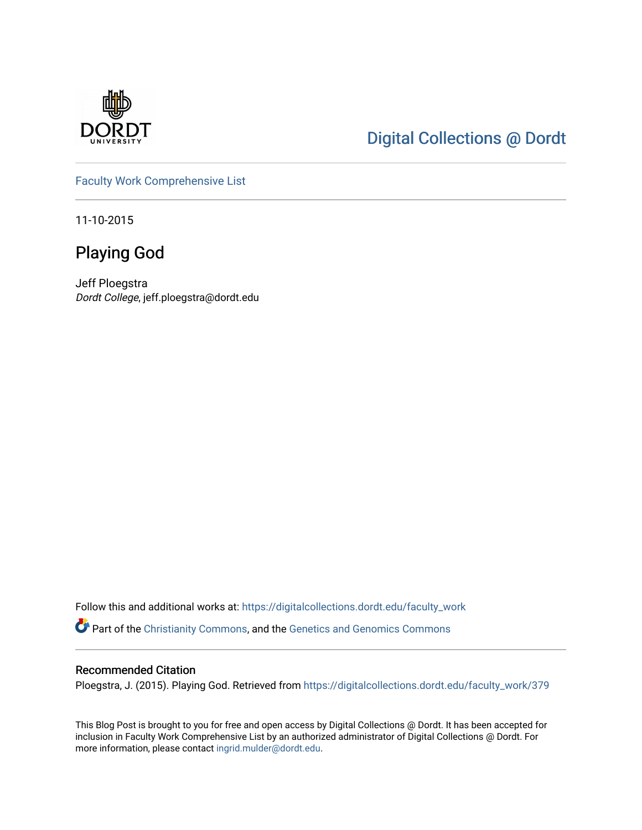

# [Digital Collections @ Dordt](https://digitalcollections.dordt.edu/)

[Faculty Work Comprehensive List](https://digitalcollections.dordt.edu/faculty_work)

11-10-2015

# Playing God

Jeff Ploegstra Dordt College, jeff.ploegstra@dordt.edu

Follow this and additional works at: [https://digitalcollections.dordt.edu/faculty\\_work](https://digitalcollections.dordt.edu/faculty_work?utm_source=digitalcollections.dordt.edu%2Ffaculty_work%2F379&utm_medium=PDF&utm_campaign=PDFCoverPages)  Part of the [Christianity Commons,](http://network.bepress.com/hgg/discipline/1181?utm_source=digitalcollections.dordt.edu%2Ffaculty_work%2F379&utm_medium=PDF&utm_campaign=PDFCoverPages) and the [Genetics and Genomics Commons](http://network.bepress.com/hgg/discipline/27?utm_source=digitalcollections.dordt.edu%2Ffaculty_work%2F379&utm_medium=PDF&utm_campaign=PDFCoverPages) 

#### Recommended Citation

Ploegstra, J. (2015). Playing God. Retrieved from [https://digitalcollections.dordt.edu/faculty\\_work/379](https://digitalcollections.dordt.edu/faculty_work/379?utm_source=digitalcollections.dordt.edu%2Ffaculty_work%2F379&utm_medium=PDF&utm_campaign=PDFCoverPages)

This Blog Post is brought to you for free and open access by Digital Collections @ Dordt. It has been accepted for inclusion in Faculty Work Comprehensive List by an authorized administrator of Digital Collections @ Dordt. For more information, please contact [ingrid.mulder@dordt.edu.](mailto:ingrid.mulder@dordt.edu)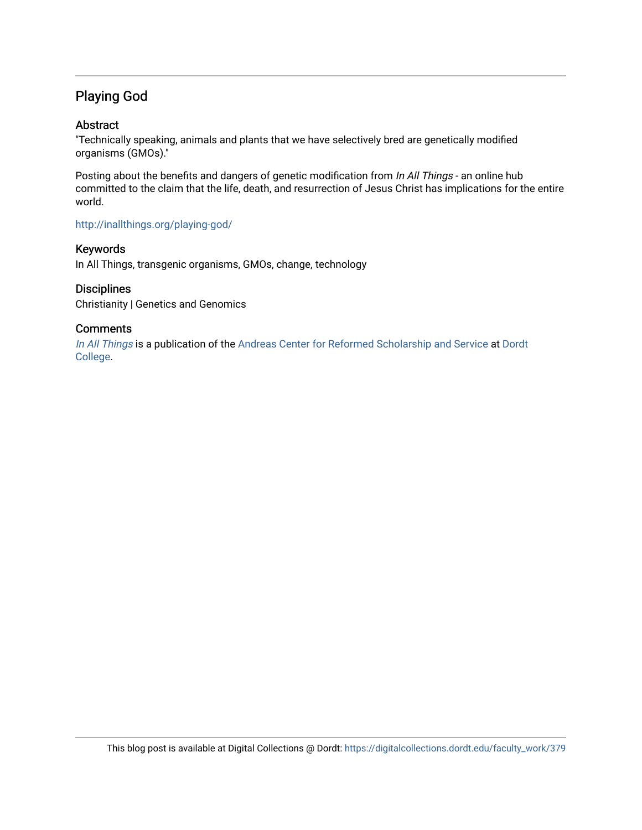# Playing God

#### Abstract

"Technically speaking, animals and plants that we have selectively bred are genetically modified organisms (GMOs)."

Posting about the benefits and dangers of genetic modification from In All Things - an online hub committed to the claim that the life, death, and resurrection of Jesus Christ has implications for the entire world.

#### <http://inallthings.org/playing-god/>

#### Keywords

In All Things, transgenic organisms, GMOs, change, technology

#### **Disciplines**

Christianity | Genetics and Genomics

#### **Comments**

[In All Things](http://inallthings.org/) is a publication of the [Andreas Center for Reformed Scholarship and Service](http://www.dordt.edu/services_support/andreas_center/) at Dordt [College](http://www.dordt.edu/).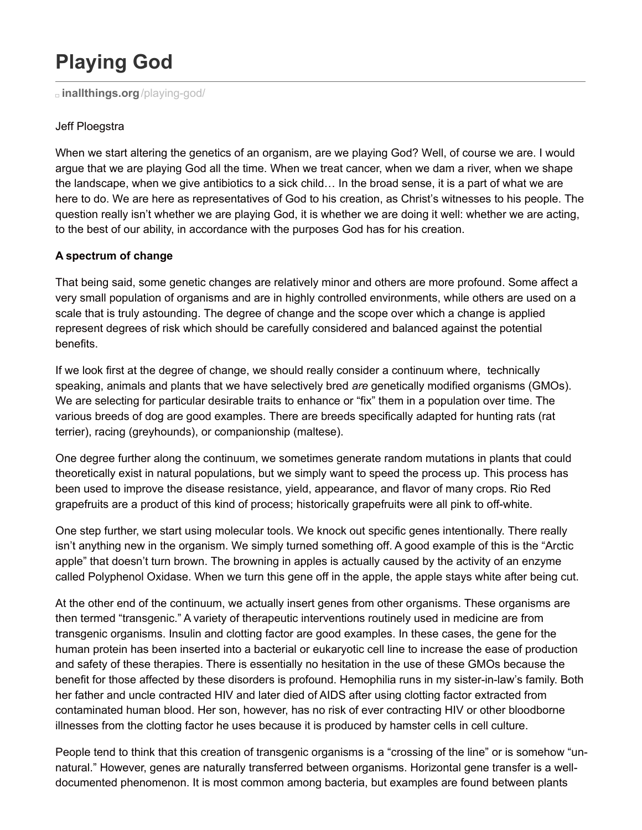# **Playing God**

**[inallthings.org](http://inallthings.org/playing-god/)**/playing-god/

#### Jeff Ploegstra

When we start altering the genetics of an organism, are we playing God? Well, of course we are. I would argue that we are playing God all the time. When we treat cancer, when we dam a river, when we shape the landscape, when we give antibiotics to a sick child… In the broad sense, it is a part of what we are here to do. We are here as representatives of God to his creation, as Christ's witnesses to his people. The question really isn't whether we are playing God, it is whether we are doing it well: whether we are acting, to the best of our ability, in accordance with the purposes God has for his creation.

## **A spectrum of change**

That being said, some genetic changes are relatively minor and others are more profound. Some affect a very small population of organisms and are in highly controlled environments, while others are used on a scale that is truly astounding. The degree of change and the scope over which a change is applied represent degrees of risk which should be carefully considered and balanced against the potential benefits.

If we look first at the degree of change, we should really consider a continuum where, technically speaking, animals and plants that we have selectively bred *are* genetically modified organisms (GMOs). We are selecting for particular desirable traits to enhance or "fix" them in a population over time. The various breeds of dog are good examples. There are breeds specifically adapted for hunting rats (rat terrier), racing (greyhounds), or companionship (maltese).

One degree further along the continuum, we sometimes generate random mutations in plants that could theoretically exist in natural populations, but we simply want to speed the process up. This process has been used to improve the disease resistance, yield, appearance, and flavor of many crops. Rio Red grapefruits are a product of this kind of process; historically grapefruits were all pink to off-white.

One step further, we start using molecular tools. We knock out specific genes intentionally. There really isn't anything new in the organism. We simply turned something off. A good example of this is the "Arctic apple" that doesn't turn brown. The browning in apples is actually caused by the activity of an enzyme called Polyphenol Oxidase. When we turn this gene off in the apple, the apple stays white after being cut.

At the other end of the continuum, we actually insert genes from other organisms. These organisms are then termed "transgenic." A variety of therapeutic interventions routinely used in medicine are from transgenic organisms. Insulin and clotting factor are good examples. In these cases, the gene for the human protein has been inserted into a bacterial or eukaryotic cell line to increase the ease of production and safety of these therapies. There is essentially no hesitation in the use of these GMOs because the benefit for those affected by these disorders is profound. Hemophilia runs in my sister-in-law's family. Both her father and uncle contracted HIV and later died of AIDS after using clotting factor extracted from contaminated human blood. Her son, however, has no risk of ever contracting HIV or other bloodborne illnesses from the clotting factor he uses because it is produced by hamster cells in cell culture.

People tend to think that this creation of transgenic organisms is a "crossing of the line" or is somehow "unnatural." However, genes are naturally transferred between organisms. Horizontal gene transfer is a welldocumented phenomenon. It is most common among bacteria, but examples are found between plants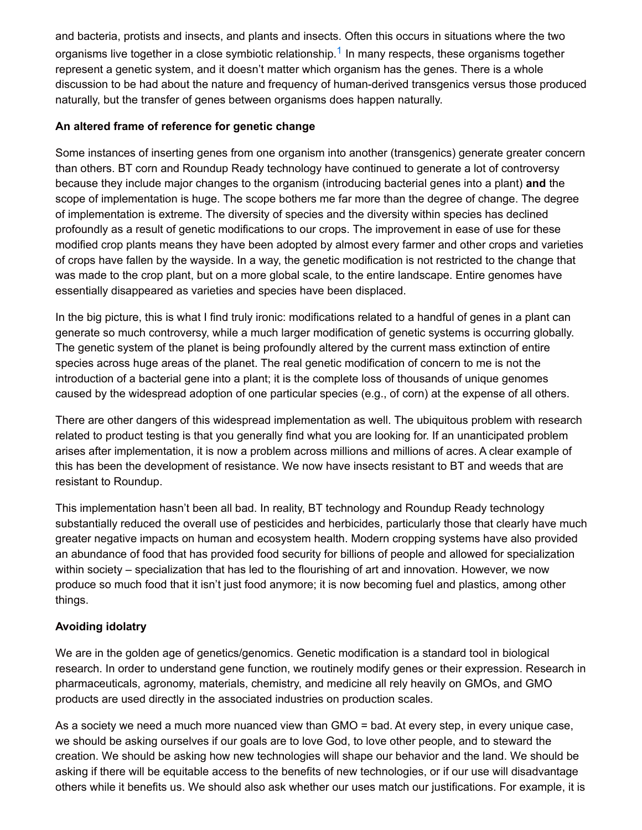and bacteria, protists and insects, and plants and insects. Often this occurs in situations where the two organisms live together in a close symbiotic relationship.<sup>[1](http://inallthings.org/playing-god/#fn1-6843)</sup> In many respects, these organisms together represent a genetic system, and it doesn't matter which organism has the genes. There is a whole discussion to be had about the nature and frequency of human-derived transgenics versus those produced naturally, but the transfer of genes between organisms does happen naturally.

#### **An altered frame of reference for genetic change**

Some instances of inserting genes from one organism into another (transgenics) generate greater concern than others. BT corn and Roundup Ready technology have continued to generate a lot of controversy because they include major changes to the organism (introducing bacterial genes into a plant) **and** the scope of implementation is huge. The scope bothers me far more than the degree of change. The degree of implementation is extreme. The diversity of species and the diversity within species has declined profoundly as a result of genetic modifications to our crops. The improvement in ease of use for these modified crop plants means they have been adopted by almost every farmer and other crops and varieties of crops have fallen by the wayside. In a way, the genetic modification is not restricted to the change that was made to the crop plant, but on a more global scale, to the entire landscape. Entire genomes have essentially disappeared as varieties and species have been displaced.

In the big picture, this is what I find truly ironic: modifications related to a handful of genes in a plant can generate so much controversy, while a much larger modification of genetic systems is occurring globally. The genetic system of the planet is being profoundly altered by the current mass extinction of entire species across huge areas of the planet. The real genetic modification of concern to me is not the introduction of a bacterial gene into a plant; it is the complete loss of thousands of unique genomes caused by the widespread adoption of one particular species (e.g., of corn) at the expense of all others.

There are other dangers of this widespread implementation as well. The ubiquitous problem with research related to product testing is that you generally find what you are looking for. If an unanticipated problem arises after implementation, it is now a problem across millions and millions of acres. A clear example of this has been the development of resistance. We now have insects resistant to BT and weeds that are resistant to Roundup.

This implementation hasn't been all bad. In reality, BT technology and Roundup Ready technology substantially reduced the overall use of pesticides and herbicides, particularly those that clearly have much greater negative impacts on human and ecosystem health. Modern cropping systems have also provided an abundance of food that has provided food security for billions of people and allowed for specialization within society – specialization that has led to the flourishing of art and innovation. However, we now produce so much food that it isn't just food anymore; it is now becoming fuel and plastics, among other things.

## **Avoiding idolatry**

We are in the golden age of genetics/genomics. Genetic modification is a standard tool in biological research. In order to understand gene function, we routinely modify genes or their expression. Research in pharmaceuticals, agronomy, materials, chemistry, and medicine all rely heavily on GMOs, and GMO products are used directly in the associated industries on production scales.

As a society we need a much more nuanced view than GMO = bad. At every step, in every unique case, we should be asking ourselves if our goals are to love God, to love other people, and to steward the creation. We should be asking how new technologies will shape our behavior and the land. We should be asking if there will be equitable access to the benefits of new technologies, or if our use will disadvantage others while it benefits us. We should also ask whether our uses match our justifications. For example, it is